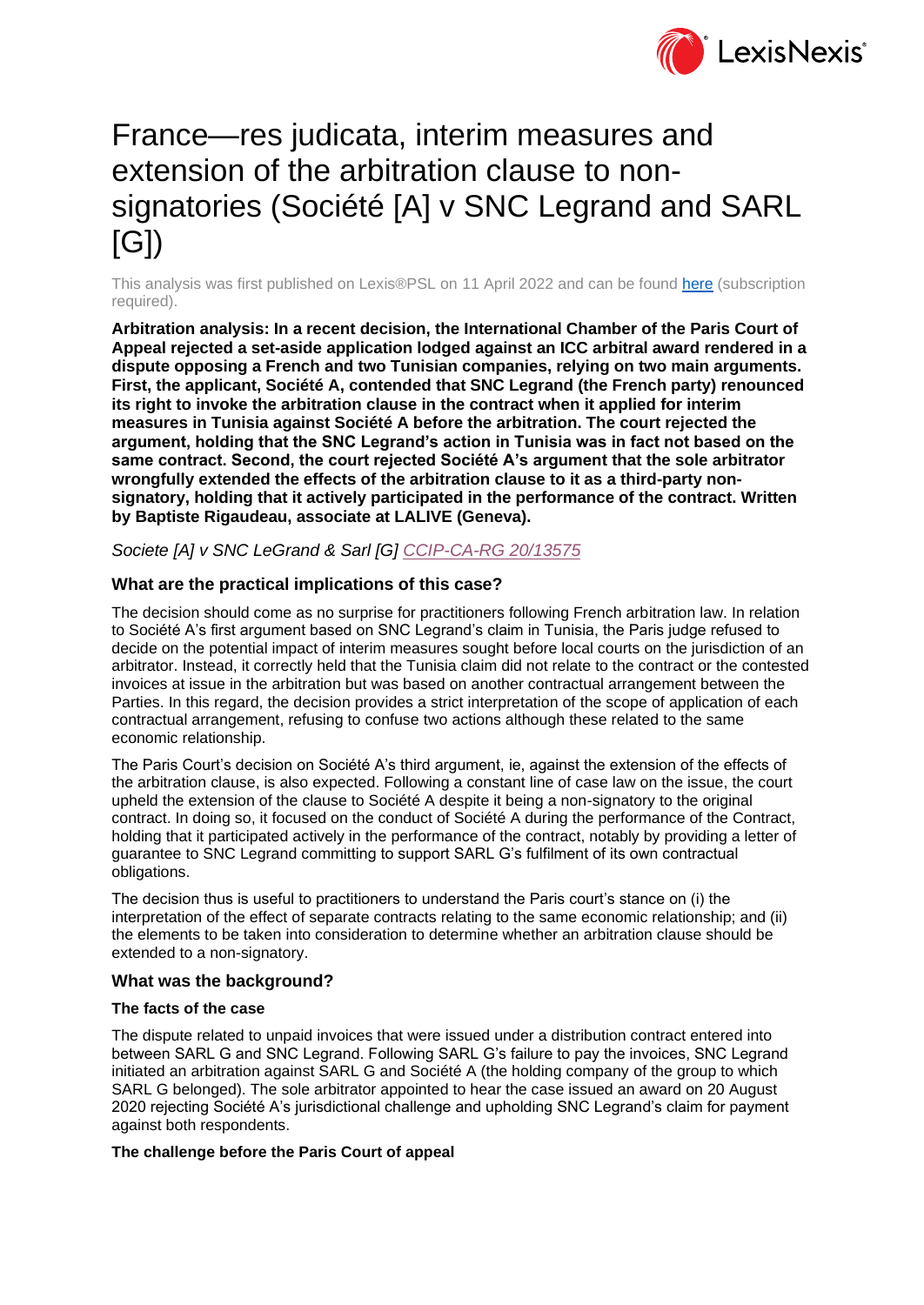

# France—res judicata, interim measures and extension of the arbitration clause to nonsignatories (Société [A] v SNC Legrand and SARL [G])

This analysis was first published on Lexis®PSL on 11 April 2022 and can be found [here](https://www.lexisnexis.co.uk/legal/news/france-res-judicata-interim-measures-extension-of-the-arbitration-clause-to-non-signatories-soci-t) (subscription required).

**Arbitration analysis: In a recent decision, the International Chamber of the Paris Court of Appeal rejected a set-aside application lodged against an ICC arbitral award rendered in a dispute opposing a French and two Tunisian companies, relying on two main arguments. First, the applicant, Société A, contended that SNC Legrand (the French party) renounced its right to invoke the arbitration clause in the contract when it applied for interim measures in Tunisia against Société A before the arbitration. The court rejected the argument, holding that the SNC Legrand's action in Tunisia was in fact not based on the same contract. Second, the court rejected Société A's argument that the sole arbitrator wrongfully extended the effects of the arbitration clause to it as a third-party nonsignatory, holding that it actively participated in the performance of the contract. Written by Baptiste Rigaudeau, associate at LALIVE (Geneva).**

*Societe [A] v SNC LeGrand & Sarl [G] [CCIP-CA-RG 20/13575](http://bit.ly/3JoPmwB)*

## **What are the practical implications of this case?**

The decision should come as no surprise for practitioners following French arbitration law. In relation to Société A's first argument based on SNC Legrand's claim in Tunisia, the Paris judge refused to decide on the potential impact of interim measures sought before local courts on the jurisdiction of an arbitrator. Instead, it correctly held that the Tunisia claim did not relate to the contract or the contested invoices at issue in the arbitration but was based on another contractual arrangement between the Parties. In this regard, the decision provides a strict interpretation of the scope of application of each contractual arrangement, refusing to confuse two actions although these related to the same economic relationship.

The Paris Court's decision on Société A's third argument, ie, against the extension of the effects of the arbitration clause, is also expected. Following a constant line of case law on the issue, the court upheld the extension of the clause to Société A despite it being a non-signatory to the original contract. In doing so, it focused on the conduct of Société A during the performance of the Contract, holding that it participated actively in the performance of the contract, notably by providing a letter of guarantee to SNC Legrand committing to support SARL G's fulfilment of its own contractual obligations.

The decision thus is useful to practitioners to understand the Paris court's stance on (i) the interpretation of the effect of separate contracts relating to the same economic relationship; and (ii) the elements to be taken into consideration to determine whether an arbitration clause should be extended to a non-signatory.

## **What was the background?**

## **The facts of the case**

The dispute related to unpaid invoices that were issued under a distribution contract entered into between SARL G and SNC Legrand. Following SARL G's failure to pay the invoices, SNC Legrand initiated an arbitration against SARL G and Société A (the holding company of the group to which SARL G belonged). The sole arbitrator appointed to hear the case issued an award on 20 August 2020 rejecting Société A's jurisdictional challenge and upholding SNC Legrand's claim for payment against both respondents.

#### **The challenge before the Paris Court of appeal**